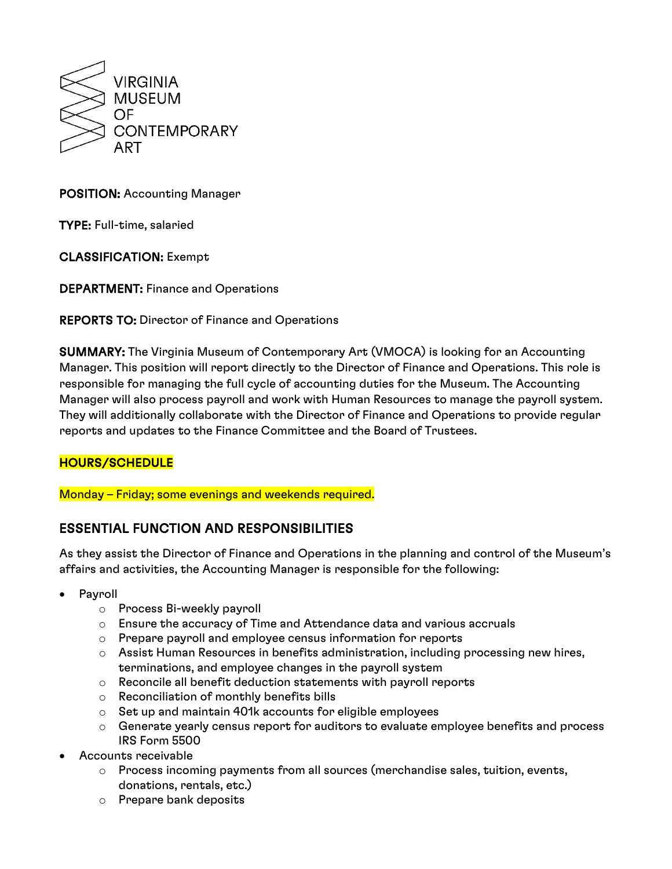

## POSITION: Accounting Manager

TYPE: Full-time, salaried

CLASSIFICATION: Exempt

DEPARTMENT: Finance and Operations

REPORTS TO: Director of Finance and Operations

SUMMARY: The Virginia Museum of Contemporary Art (VMOCA) is looking for an Accounting Manager. This position will report directly to the Director of Finance and Operations. This role is responsible for managing the full cycle of accounting duties for the Museum. The Accounting Manager will also process payroll and work with Human Resources to manage the payroll system. They will additionally collaborate with the Director of Finance and Operations to provide regular reports and updates to the Finance Committee and the Board of Trustees.

### HOURS/SCHEDULE

Monday – Friday; some evenings and weekends required.

## ESSENTIAL FUNCTION AND RESPONSIBILITIES

As they assist the Director of Finance and Operations in the planning and control of the Museum's affairs and activities, the Accounting Manager is responsible for the following:

- Payroll
	- o Process Bi-weekly payroll
	- $\circ$  Ensure the accuracy of Time and Attendance data and various accruals
	- o Prepare payroll and employee census information for reports
	- $\circ$  Assist Human Resources in benefits administration, including processing new hires, terminations, and employee changes in the payroll system
	- o Reconcile all benefit deduction statements with payroll reports
	- o Reconciliation of monthly benefits bills
	- o Set up and maintain 401k accounts for eligible employees
	- $\circ$  Generate yearly census report for auditors to evaluate employee benefits and process IRS Form 5500
- Accounts receivable
	- $\circ$  Process incoming payments from all sources (merchandise sales, tuition, events, donations, rentals, etc.)
	- o Prepare bank deposits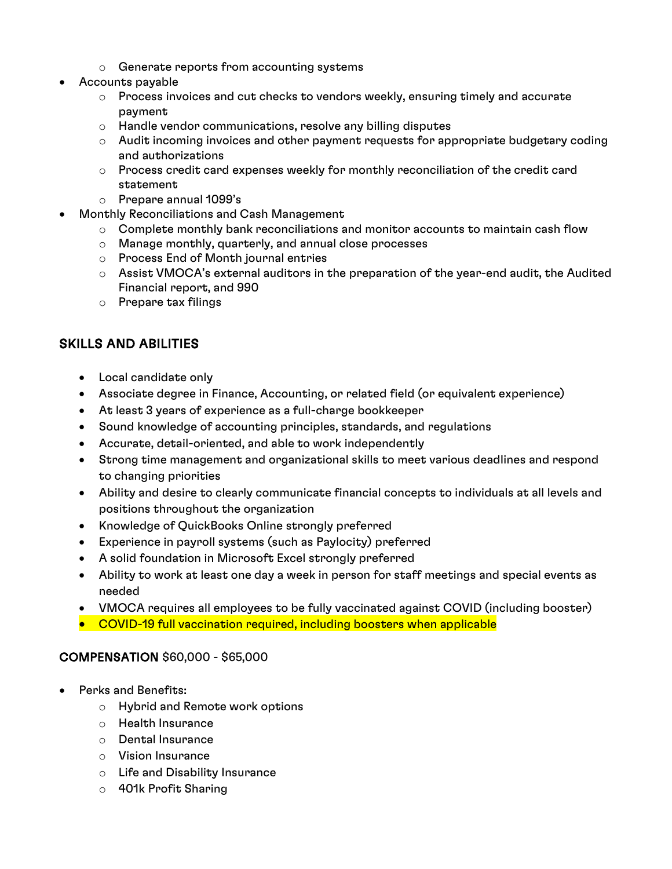- o Generate reports from accounting systems
- Accounts payable
	- o Process invoices and cut checks to vendors weekly, ensuring timely and accurate payment
	- o Handle vendor communications, resolve any billing disputes
	- $\circ$  Audit incoming invoices and other payment requests for appropriate budgetary coding and authorizations
	- $\circ$  Process credit card expenses weekly for monthly reconciliation of the credit card statement
	- o Prepare annual 1099's
- Monthly Reconciliations and Cash Management
	- $\circ$  Complete monthly bank reconciliations and monitor accounts to maintain cash flow
	- o Manage monthly, quarterly, and annual close processes
	- o Process End of Month journal entries
	- $\circ$  Assist VMOCA's external auditors in the preparation of the year-end audit, the Audited Financial report, and 990
	- o Prepare tax filings

# SKILLS AND ABILITIES

- Local candidate only
- Associate degree in Finance, Accounting, or related field (or equivalent experience)
- At least 3 years of experience as a full-charge bookkeeper
- Sound knowledge of accounting principles, standards, and regulations
- Accurate, detail-oriented, and able to work independently
- Strong time management and organizational skills to meet various deadlines and respond to changing priorities
- Ability and desire to clearly communicate financial concepts to individuals at all levels and positions throughout the organization
- Knowledge of QuickBooks Online strongly preferred
- Experience in payroll systems (such as Paylocity) preferred
- A solid foundation in Microsoft Excel strongly preferred
- Ability to work at least one day a week in person for staff meetings and special events as needed
- VMOCA requires all employees to be fully vaccinated against COVID (including booster)
- COVID-19 full vaccination required, including boosters when applicable

### COMPENSATION \$60,000 - \$65,000

- Perks and Benefits:
	- o Hybrid and Remote work options
	- o Health Insurance
	- o Dental Insurance
	- o Vision Insurance
	- o Life and Disability Insurance
	- o 401k Profit Sharing